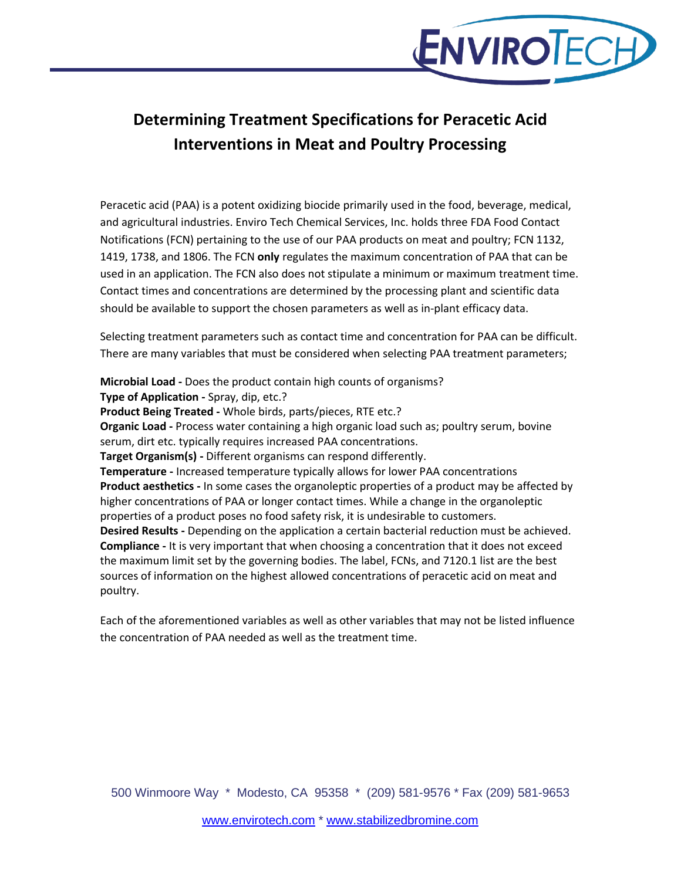

# **Determining Treatment Specifications for Peracetic Acid Interventions in Meat and Poultry Processing**

Peracetic acid (PAA) is a potent oxidizing biocide primarily used in the food, beverage, medical, and agricultural industries. Enviro Tech Chemical Services, Inc. holds three FDA Food Contact Notifications (FCN) pertaining to the use of our PAA products on meat and poultry; FCN 1132, 1419, 1738, and 1806. The FCN **only** regulates the maximum concentration of PAA that can be used in an application. The FCN also does not stipulate a minimum or maximum treatment time. Contact times and concentrations are determined by the processing plant and scientific data should be available to support the chosen parameters as well as in-plant efficacy data.

Selecting treatment parameters such as contact time and concentration for PAA can be difficult. There are many variables that must be considered when selecting PAA treatment parameters;

**Microbial Load -** Does the product contain high counts of organisms? **Type of Application -** Spray, dip, etc.? **Product Being Treated -** Whole birds, parts/pieces, RTE etc.? **Organic Load -** Process water containing a high organic load such as; poultry serum, bovine serum, dirt etc. typically requires increased PAA concentrations. **Target Organism(s) -** Different organisms can respond differently. **Temperature -** Increased temperature typically allows for lower PAA concentrations **Product aesthetics -** In some cases the organoleptic properties of a product may be affected by higher concentrations of PAA or longer contact times. While a change in the organoleptic properties of a product poses no food safety risk, it is undesirable to customers. **Desired Results -** Depending on the application a certain bacterial reduction must be achieved. **Compliance -** It is very important that when choosing a concentration that it does not exceed the maximum limit set by the governing bodies. The label, FCNs, and 7120.1 list are the best sources of information on the highest allowed concentrations of peracetic acid on meat and poultry.

Each of the aforementioned variables as well as other variables that may not be listed influence the concentration of PAA needed as well as the treatment time.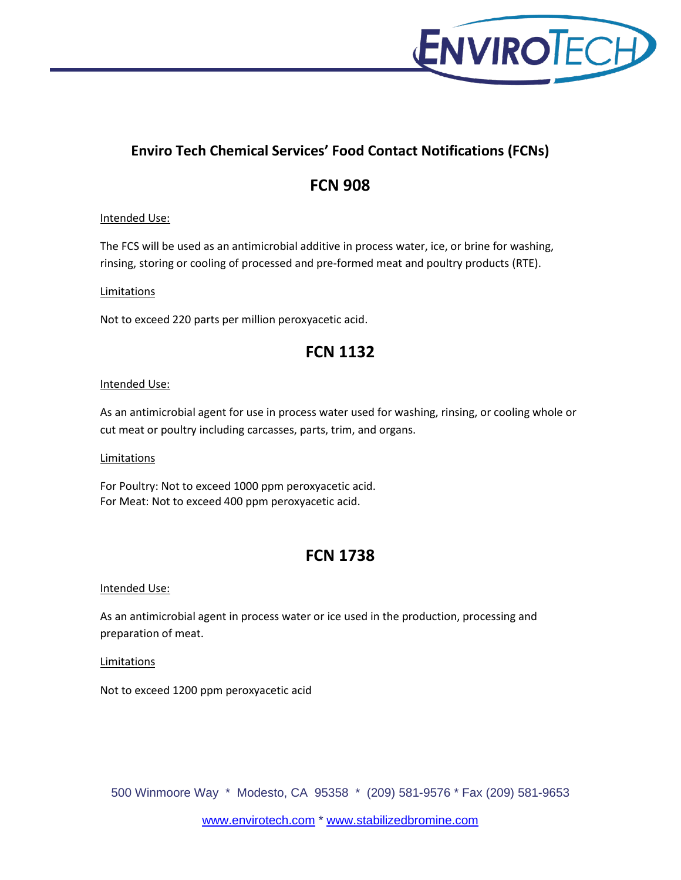

### **Enviro Tech Chemical Services' Food Contact Notifications (FCNs)**

# **FCN 908**

### Intended Use:

The FCS will be used as an antimicrobial additive in process water, ice, or brine for washing, rinsing, storing or cooling of processed and pre-formed meat and poultry products (RTE).

### **Limitations**

Not to exceed 220 parts per million peroxyacetic acid.

### **FCN 1132**

### Intended Use:

As an antimicrobial agent for use in process water used for washing, rinsing, or cooling whole or cut meat or poultry including carcasses, parts, trim, and organs.

### Limitations

For Poultry: Not to exceed 1000 ppm peroxyacetic acid. For Meat: Not to exceed 400 ppm peroxyacetic acid.

### **FCN 1738**

### Intended Use:

As an antimicrobial agent in process water or ice used in the production, processing and preparation of meat.

**Limitations** 

Not to exceed 1200 ppm peroxyacetic acid

500 Winmoore Way \* Modesto, CA 95358 \* (209) 581-9576 \* Fax (209) 581-9653

[www.envirotech.com](http://www.envirotech.com/) \* [www.stabilizedbromine.com](http://www.stabilizedbromine.com/)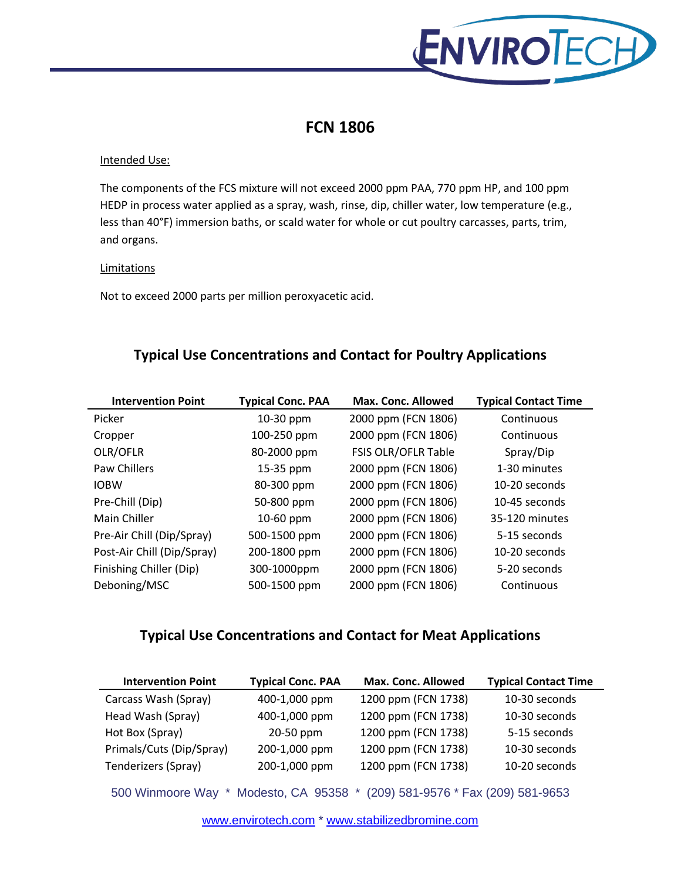

## **FCN 1806**

#### Intended Use:

The components of the FCS mixture will not exceed 2000 ppm PAA, 770 ppm HP, and 100 ppm HEDP in process water applied as a spray, wash, rinse, dip, chiller water, low temperature (e.g., less than 40°F) immersion baths, or scald water for whole or cut poultry carcasses, parts, trim, and organs.

### **Limitations**

Not to exceed 2000 parts per million peroxyacetic acid.

### **Typical Use Concentrations and Contact for Poultry Applications**

| <b>Intervention Point</b>  | <b>Typical Conc. PAA</b> | Max. Conc. Allowed  | <b>Typical Contact Time</b> |
|----------------------------|--------------------------|---------------------|-----------------------------|
| Picker                     | 10-30 ppm                | 2000 ppm (FCN 1806) | Continuous                  |
| Cropper                    | 100-250 ppm              | 2000 ppm (FCN 1806) | Continuous                  |
| OLR/OFLR                   | 80-2000 ppm              | FSIS OLR/OFLR Table | Spray/Dip                   |
| Paw Chillers               | 15-35 ppm                | 2000 ppm (FCN 1806) | 1-30 minutes                |
| <b>IOBW</b>                | 80-300 ppm               | 2000 ppm (FCN 1806) | 10-20 seconds               |
| Pre-Chill (Dip)            | 50-800 ppm               | 2000 ppm (FCN 1806) | 10-45 seconds               |
| Main Chiller               | 10-60 ppm                | 2000 ppm (FCN 1806) | 35-120 minutes              |
| Pre-Air Chill (Dip/Spray)  | 500-1500 ppm             | 2000 ppm (FCN 1806) | 5-15 seconds                |
| Post-Air Chill (Dip/Spray) | 200-1800 ppm             | 2000 ppm (FCN 1806) | 10-20 seconds               |
| Finishing Chiller (Dip)    | 300-1000ppm              | 2000 ppm (FCN 1806) | 5-20 seconds                |
| Deboning/MSC               | 500-1500 ppm             | 2000 ppm (FCN 1806) | Continuous                  |

### **Typical Use Concentrations and Contact for Meat Applications**

| <b>Intervention Point</b>                                                     | <b>Typical Conc. PAA</b> | Max. Conc. Allowed  | <b>Typical Contact Time</b> |  |
|-------------------------------------------------------------------------------|--------------------------|---------------------|-----------------------------|--|
| Carcass Wash (Spray)                                                          | 400-1,000 ppm            | 1200 ppm (FCN 1738) | 10-30 seconds               |  |
| Head Wash (Spray)                                                             | 400-1,000 ppm            | 1200 ppm (FCN 1738) | 10-30 seconds               |  |
| Hot Box (Spray)                                                               | 20-50 ppm                | 1200 ppm (FCN 1738) | 5-15 seconds                |  |
| Primals/Cuts (Dip/Spray)                                                      | 200-1,000 ppm            | 1200 ppm (FCN 1738) | 10-30 seconds               |  |
| Tenderizers (Spray)                                                           | 200-1,000 ppm            | 1200 ppm (FCN 1738) | 10-20 seconds               |  |
| (209) 581-9576 * Fax (209) 581-9653<br>500 Winmoore Way * Modesto, CA 95358 * |                          |                     |                             |  |

[www.envirotech.com](http://www.envirotech.com/) \* [www.stabilizedbromine.com](http://www.stabilizedbromine.com/)